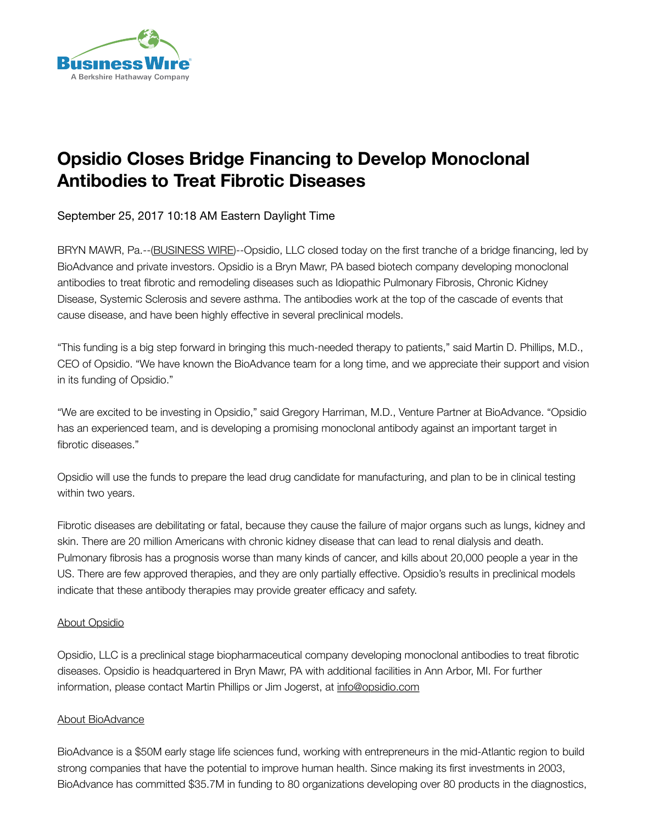

## **Opsidio Closes Bridge Financing to Develop Monoclonal Antibodies to Treat Fibrotic Diseases**

September 25, 2017 10:18 AM Eastern Daylight Time

BRYN MAWR, Pa.--([BUSINESS WIRE\)](http://www.businesswire.com/)--Opsidio, LLC closed today on the first tranche of a bridge financing, led by BioAdvance and private investors. Opsidio is a Bryn Mawr, PA based biotech company developing monoclonal antibodies to treat fibrotic and remodeling diseases such as Idiopathic Pulmonary Fibrosis, Chronic Kidney Disease, Systemic Sclerosis and severe asthma. The antibodies work at the top of the cascade of events that cause disease, and have been highly effective in several preclinical models.

"This funding is a big step forward in bringing this much-needed therapy to patients," said Martin D. Phillips, M.D., CEO of Opsidio. "We have known the BioAdvance team for a long time, and we appreciate their support and vision in its funding of Opsidio."

"We are excited to be investing in Opsidio," said Gregory Harriman, M.D., Venture Partner at BioAdvance. "Opsidio has an experienced team, and is developing a promising monoclonal antibody against an important target in fibrotic diseases."

Opsidio will use the funds to prepare the lead drug candidate for manufacturing, and plan to be in clinical testing within two years.

Fibrotic diseases are debilitating or fatal, because they cause the failure of major organs such as lungs, kidney and skin. There are 20 million Americans with chronic kidney disease that can lead to renal dialysis and death. Pulmonary fibrosis has a prognosis worse than many kinds of cancer, and kills about 20,000 people a year in the US. There are few approved therapies, and they are only partially effective. Opsidio's results in preclinical models indicate that these antibody therapies may provide greater efficacy and safety.

## About Opsidio

Opsidio, LLC is a preclinical stage biopharmaceutical company developing monoclonal antibodies to treat fibrotic diseases. Opsidio is headquartered in Bryn Mawr, PA with additional facilities in Ann Arbor, MI. For further information, please contact Martin Phillips or Jim Jogerst, at [info@opsidio.com](mailto:info@opsidio.com)

## About BioAdvance

BioAdvance is a \$50M early stage life sciences fund, working with entrepreneurs in the mid-Atlantic region to build strong companies that have the potential to improve human health. Since making its first investments in 2003, BioAdvance has committed \$35.7M in funding to 80 organizations developing over 80 products in the diagnostics,